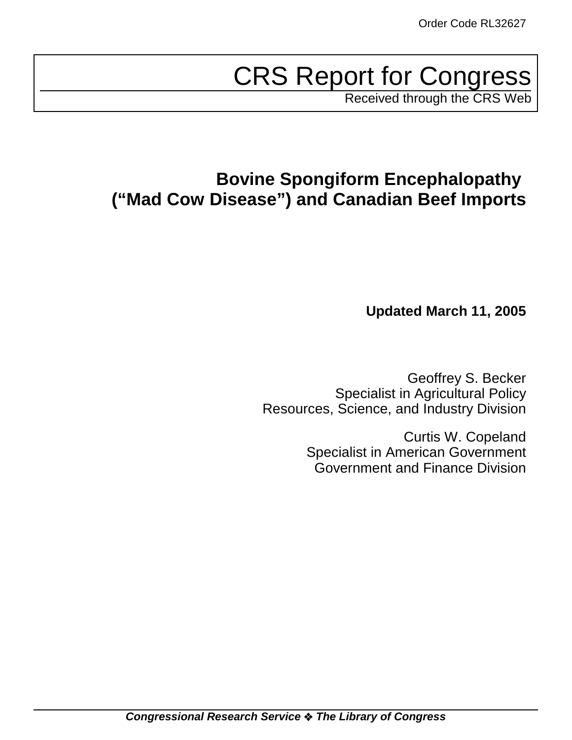# CRS Report for Congress

Received through the CRS Web

## **Bovine Spongiform Encephalopathy ("Mad Cow Disease") and Canadian Beef Imports**

**Updated March 11, 2005**

Geoffrey S. Becker Specialist in Agricultural Policy Resources, Science, and Industry Division

> Curtis W. Copeland Specialist in American Government Government and Finance Division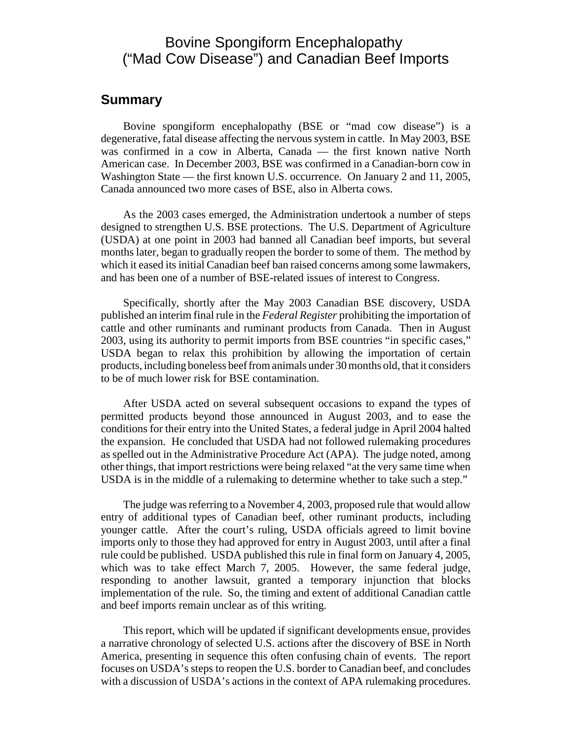## Bovine Spongiform Encephalopathy ("Mad Cow Disease") and Canadian Beef Imports

#### **Summary**

Bovine spongiform encephalopathy (BSE or "mad cow disease") is a degenerative, fatal disease affecting the nervous system in cattle. In May 2003, BSE was confirmed in a cow in Alberta, Canada — the first known native North American case. In December 2003, BSE was confirmed in a Canadian-born cow in Washington State — the first known U.S. occurrence. On January 2 and 11, 2005, Canada announced two more cases of BSE, also in Alberta cows.

As the 2003 cases emerged, the Administration undertook a number of steps designed to strengthen U.S. BSE protections. The U.S. Department of Agriculture (USDA) at one point in 2003 had banned all Canadian beef imports, but several months later, began to gradually reopen the border to some of them. The method by which it eased its initial Canadian beef ban raised concerns among some lawmakers, and has been one of a number of BSE-related issues of interest to Congress.

Specifically, shortly after the May 2003 Canadian BSE discovery, USDA published an interim final rule in the *Federal Register* prohibiting the importation of cattle and other ruminants and ruminant products from Canada. Then in August 2003, using its authority to permit imports from BSE countries "in specific cases," USDA began to relax this prohibition by allowing the importation of certain products, including boneless beef from animals under 30 months old, that it considers to be of much lower risk for BSE contamination.

After USDA acted on several subsequent occasions to expand the types of permitted products beyond those announced in August 2003, and to ease the conditions for their entry into the United States, a federal judge in April 2004 halted the expansion. He concluded that USDA had not followed rulemaking procedures as spelled out in the Administrative Procedure Act (APA). The judge noted, among other things, that import restrictions were being relaxed "at the very same time when USDA is in the middle of a rulemaking to determine whether to take such a step."

The judge was referring to a November 4, 2003, proposed rule that would allow entry of additional types of Canadian beef, other ruminant products, including younger cattle. After the court's ruling, USDA officials agreed to limit bovine imports only to those they had approved for entry in August 2003, until after a final rule could be published. USDA published this rule in final form on January 4, 2005, which was to take effect March 7, 2005. However, the same federal judge, responding to another lawsuit, granted a temporary injunction that blocks implementation of the rule. So, the timing and extent of additional Canadian cattle and beef imports remain unclear as of this writing.

This report, which will be updated if significant developments ensue, provides a narrative chronology of selected U.S. actions after the discovery of BSE in North America, presenting in sequence this often confusing chain of events. The report focuses on USDA's steps to reopen the U.S. border to Canadian beef, and concludes with a discussion of USDA's actions in the context of APA rulemaking procedures.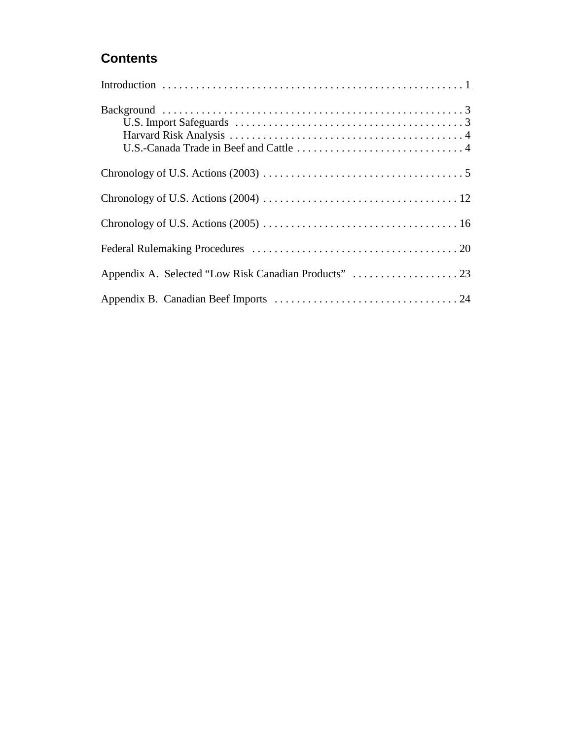## **Contents**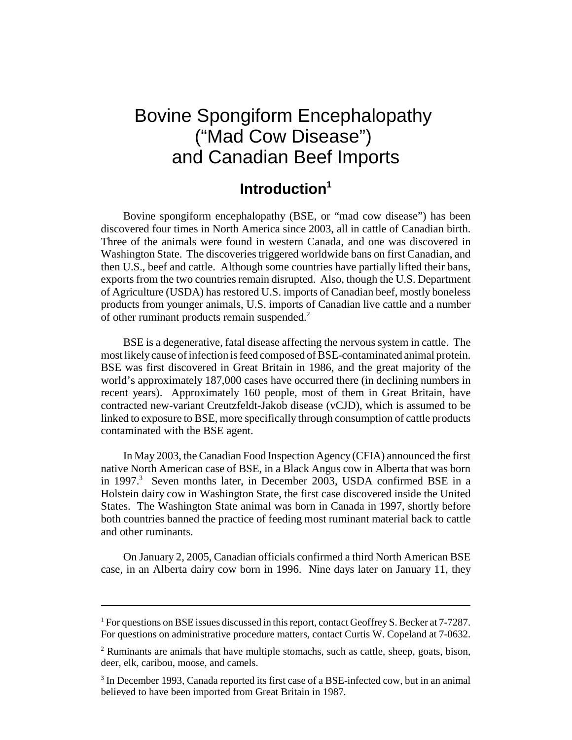## Bovine Spongiform Encephalopathy ("Mad Cow Disease") and Canadian Beef Imports

## **Introduction1**

Bovine spongiform encephalopathy (BSE, or "mad cow disease") has been discovered four times in North America since 2003, all in cattle of Canadian birth. Three of the animals were found in western Canada, and one was discovered in Washington State. The discoveries triggered worldwide bans on first Canadian, and then U.S., beef and cattle. Although some countries have partially lifted their bans, exports from the two countries remain disrupted. Also, though the U.S. Department of Agriculture (USDA) has restored U.S. imports of Canadian beef, mostly boneless products from younger animals, U.S. imports of Canadian live cattle and a number of other ruminant products remain suspended.<sup>2</sup>

BSE is a degenerative, fatal disease affecting the nervous system in cattle. The most likely cause of infection is feed composed of BSE-contaminated animal protein. BSE was first discovered in Great Britain in 1986, and the great majority of the world's approximately 187,000 cases have occurred there (in declining numbers in recent years). Approximately 160 people, most of them in Great Britain, have contracted new-variant Creutzfeldt-Jakob disease (vCJD), which is assumed to be linked to exposure to BSE, more specifically through consumption of cattle products contaminated with the BSE agent.

In May 2003, the Canadian Food Inspection Agency (CFIA) announced the first native North American case of BSE, in a Black Angus cow in Alberta that was born in 1997.<sup>3</sup> Seven months later, in December 2003, USDA confirmed BSE in a Holstein dairy cow in Washington State, the first case discovered inside the United States. The Washington State animal was born in Canada in 1997, shortly before both countries banned the practice of feeding most ruminant material back to cattle and other ruminants.

On January 2, 2005, Canadian officials confirmed a third North American BSE case, in an Alberta dairy cow born in 1996. Nine days later on January 11, they

<sup>&</sup>lt;sup>1</sup> For questions on BSE issues discussed in this report, contact Geoffrey S. Becker at 7-7287. For questions on administrative procedure matters, contact Curtis W. Copeland at 7-0632.

<sup>&</sup>lt;sup>2</sup> Ruminants are animals that have multiple stomachs, such as cattle, sheep, goats, bison, deer, elk, caribou, moose, and camels.

<sup>&</sup>lt;sup>3</sup> In December 1993, Canada reported its first case of a BSE-infected cow, but in an animal believed to have been imported from Great Britain in 1987.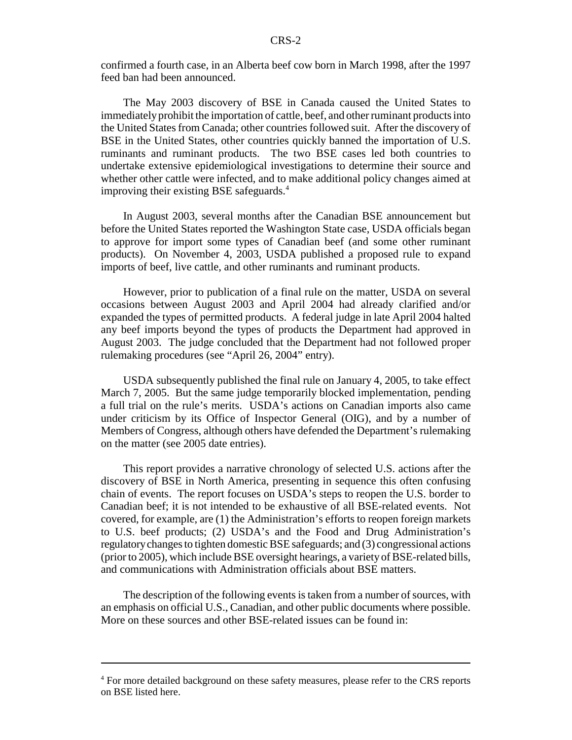confirmed a fourth case, in an Alberta beef cow born in March 1998, after the 1997 feed ban had been announced.

The May 2003 discovery of BSE in Canada caused the United States to immediately prohibit the importation of cattle, beef, and other ruminant products into the United States from Canada; other countries followed suit. After the discovery of BSE in the United States, other countries quickly banned the importation of U.S. ruminants and ruminant products. The two BSE cases led both countries to undertake extensive epidemiological investigations to determine their source and whether other cattle were infected, and to make additional policy changes aimed at improving their existing BSE safeguards.<sup>4</sup>

In August 2003, several months after the Canadian BSE announcement but before the United States reported the Washington State case, USDA officials began to approve for import some types of Canadian beef (and some other ruminant products). On November 4, 2003, USDA published a proposed rule to expand imports of beef, live cattle, and other ruminants and ruminant products.

However, prior to publication of a final rule on the matter, USDA on several occasions between August 2003 and April 2004 had already clarified and/or expanded the types of permitted products. A federal judge in late April 2004 halted any beef imports beyond the types of products the Department had approved in August 2003. The judge concluded that the Department had not followed proper rulemaking procedures (see "April 26, 2004" entry).

USDA subsequently published the final rule on January 4, 2005, to take effect March 7, 2005. But the same judge temporarily blocked implementation, pending a full trial on the rule's merits. USDA's actions on Canadian imports also came under criticism by its Office of Inspector General (OIG), and by a number of Members of Congress, although others have defended the Department's rulemaking on the matter (see 2005 date entries).

This report provides a narrative chronology of selected U.S. actions after the discovery of BSE in North America, presenting in sequence this often confusing chain of events. The report focuses on USDA's steps to reopen the U.S. border to Canadian beef; it is not intended to be exhaustive of all BSE-related events. Not covered, for example, are (1) the Administration's efforts to reopen foreign markets to U.S. beef products; (2) USDA's and the Food and Drug Administration's regulatory changes to tighten domestic BSE safeguards; and (3) congressional actions (prior to 2005), which include BSE oversight hearings, a variety of BSE-related bills, and communications with Administration officials about BSE matters.

The description of the following events is taken from a number of sources, with an emphasis on official U.S., Canadian, and other public documents where possible. More on these sources and other BSE-related issues can be found in:

<sup>&</sup>lt;sup>4</sup> For more detailed background on these safety measures, please refer to the CRS reports on BSE listed here.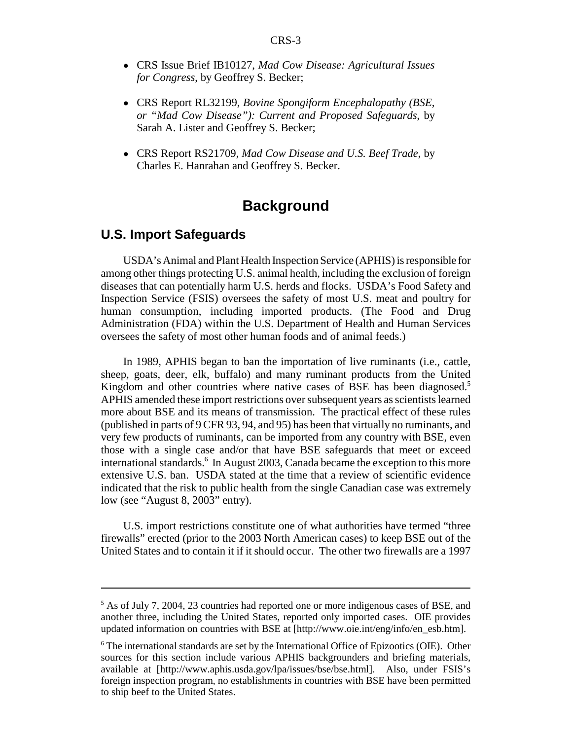- ! CRS Issue Brief IB10127, *Mad Cow Disease: Agricultural Issues for Congress*, by Geoffrey S. Becker;
- ! CRS Report RL32199, *Bovine Spongiform Encephalopathy (BSE, or "Mad Cow Disease"): Current and Proposed Safeguards*, by Sarah A. Lister and Geoffrey S. Becker;
- ! CRS Report RS21709, *Mad Cow Disease and U.S. Beef Trade*, by Charles E. Hanrahan and Geoffrey S. Becker.

## **Background**

#### **U.S. Import Safeguards**

USDA's Animal and Plant Health Inspection Service (APHIS) is responsible for among other things protecting U.S. animal health, including the exclusion of foreign diseases that can potentially harm U.S. herds and flocks. USDA's Food Safety and Inspection Service (FSIS) oversees the safety of most U.S. meat and poultry for human consumption, including imported products. (The Food and Drug Administration (FDA) within the U.S. Department of Health and Human Services oversees the safety of most other human foods and of animal feeds.)

In 1989, APHIS began to ban the importation of live ruminants (i.e., cattle, sheep, goats, deer, elk, buffalo) and many ruminant products from the United Kingdom and other countries where native cases of BSE has been diagnosed.<sup>5</sup> APHIS amended these import restrictions over subsequent years as scientists learned more about BSE and its means of transmission. The practical effect of these rules (published in parts of 9 CFR 93, 94, and 95) has been that virtually no ruminants, and very few products of ruminants, can be imported from any country with BSE, even those with a single case and/or that have BSE safeguards that meet or exceed international standards.<sup>6</sup> In August 2003, Canada became the exception to this more extensive U.S. ban. USDA stated at the time that a review of scientific evidence indicated that the risk to public health from the single Canadian case was extremely low (see "August 8, 2003" entry).

U.S. import restrictions constitute one of what authorities have termed "three firewalls" erected (prior to the 2003 North American cases) to keep BSE out of the United States and to contain it if it should occur. The other two firewalls are a 1997

<sup>&</sup>lt;sup>5</sup> As of July 7, 2004, 23 countries had reported one or more indigenous cases of BSE, and another three, including the United States, reported only imported cases. OIE provides updated information on countries with BSE at [http://www.oie.int/eng/info/en\_esb.htm].

 $6$  The international standards are set by the International Office of Epizootics (OIE). Other sources for this section include various APHIS backgrounders and briefing materials, available at [http://www.aphis.usda.gov/lpa/issues/bse/bse.html]. Also, under FSIS's foreign inspection program, no establishments in countries with BSE have been permitted to ship beef to the United States.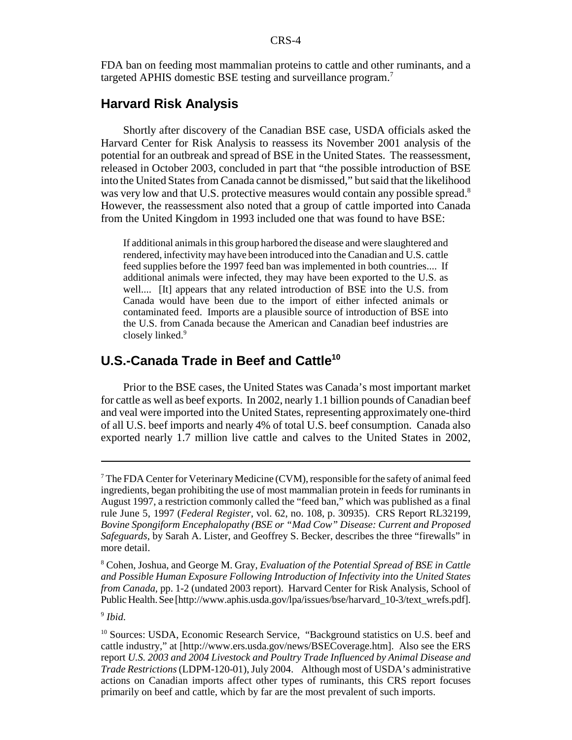FDA ban on feeding most mammalian proteins to cattle and other ruminants, and a targeted APHIS domestic BSE testing and surveillance program.<sup>7</sup>

#### **Harvard Risk Analysis**

Shortly after discovery of the Canadian BSE case, USDA officials asked the Harvard Center for Risk Analysis to reassess its November 2001 analysis of the potential for an outbreak and spread of BSE in the United States. The reassessment, released in October 2003, concluded in part that "the possible introduction of BSE into the United States from Canada cannot be dismissed," but said that the likelihood was very low and that U.S. protective measures would contain any possible spread.<sup>8</sup> However, the reassessment also noted that a group of cattle imported into Canada from the United Kingdom in 1993 included one that was found to have BSE:

If additional animals in this group harbored the disease and were slaughtered and rendered, infectivity may have been introduced into the Canadian and U.S. cattle feed supplies before the 1997 feed ban was implemented in both countries.... If additional animals were infected, they may have been exported to the U.S. as well.... [It] appears that any related introduction of BSE into the U.S. from Canada would have been due to the import of either infected animals or contaminated feed. Imports are a plausible source of introduction of BSE into the U.S. from Canada because the American and Canadian beef industries are closely linked.<sup>9</sup>

#### **U.S.-Canada Trade in Beef and Cattle10**

Prior to the BSE cases, the United States was Canada's most important market for cattle as well as beef exports. In 2002, nearly 1.1 billion pounds of Canadian beef and veal were imported into the United States, representing approximately one-third of all U.S. beef imports and nearly 4% of total U.S. beef consumption. Canada also exported nearly 1.7 million live cattle and calves to the United States in 2002,

<sup>&</sup>lt;sup>7</sup> The FDA Center for Veterinary Medicine (CVM), responsible for the safety of animal feed ingredients, began prohibiting the use of most mammalian protein in feeds for ruminants in August 1997, a restriction commonly called the "feed ban," which was published as a final rule June 5, 1997 (*Federal Register*, vol. 62, no. 108, p. 30935). CRS Report RL32199, *Bovine Spongiform Encephalopathy (BSE or "Mad Cow" Disease: Current and Proposed Safeguards*, by Sarah A. Lister, and Geoffrey S. Becker, describes the three "firewalls" in more detail.

<sup>8</sup> Cohen, Joshua, and George M. Gray, *Evaluation of the Potential Spread of BSE in Cattle and Possible Human Exposure Following Introduction of Infectivity into the United States from Canada*, pp. 1-2 (undated 2003 report). Harvard Center for Risk Analysis, School of Public Health. See [http://www.aphis.usda.gov/lpa/issues/bse/harvard\_10-3/text\_wrefs.pdf].

<sup>9</sup> *Ibid*.

<sup>&</sup>lt;sup>10</sup> Sources: USDA, Economic Research Service, "Background statistics on U.S. beef and cattle industry," at [http://www.ers.usda.gov/news/BSECoverage.htm]. Also see the ERS report *U.S. 2003 and 2004 Livestock and Poultry Trade Influenced by Animal Disease and Trade Restrictions* (LDPM-120-01), July 2004. Although most of USDA's administrative actions on Canadian imports affect other types of ruminants, this CRS report focuses primarily on beef and cattle, which by far are the most prevalent of such imports.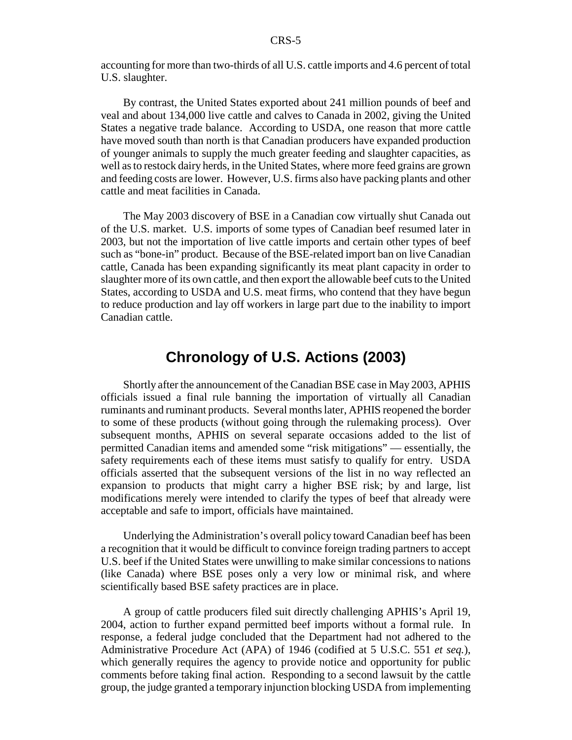accounting for more than two-thirds of all U.S. cattle imports and 4.6 percent of total U.S. slaughter.

By contrast, the United States exported about 241 million pounds of beef and veal and about 134,000 live cattle and calves to Canada in 2002, giving the United States a negative trade balance. According to USDA, one reason that more cattle have moved south than north is that Canadian producers have expanded production of younger animals to supply the much greater feeding and slaughter capacities, as well as to restock dairy herds, in the United States, where more feed grains are grown and feeding costs are lower. However, U.S. firms also have packing plants and other cattle and meat facilities in Canada.

The May 2003 discovery of BSE in a Canadian cow virtually shut Canada out of the U.S. market. U.S. imports of some types of Canadian beef resumed later in 2003, but not the importation of live cattle imports and certain other types of beef such as "bone-in" product. Because of the BSE-related import ban on live Canadian cattle, Canada has been expanding significantly its meat plant capacity in order to slaughter more of its own cattle, and then export the allowable beef cuts to the United States, according to USDA and U.S. meat firms, who contend that they have begun to reduce production and lay off workers in large part due to the inability to import Canadian cattle.

## **Chronology of U.S. Actions (2003)**

Shortly after the announcement of the Canadian BSE case in May 2003, APHIS officials issued a final rule banning the importation of virtually all Canadian ruminants and ruminant products. Several months later, APHIS reopened the border to some of these products (without going through the rulemaking process). Over subsequent months, APHIS on several separate occasions added to the list of permitted Canadian items and amended some "risk mitigations" — essentially, the safety requirements each of these items must satisfy to qualify for entry. USDA officials asserted that the subsequent versions of the list in no way reflected an expansion to products that might carry a higher BSE risk; by and large, list modifications merely were intended to clarify the types of beef that already were acceptable and safe to import, officials have maintained.

Underlying the Administration's overall policy toward Canadian beef has been a recognition that it would be difficult to convince foreign trading partners to accept U.S. beef if the United States were unwilling to make similar concessions to nations (like Canada) where BSE poses only a very low or minimal risk, and where scientifically based BSE safety practices are in place.

A group of cattle producers filed suit directly challenging APHIS's April 19, 2004, action to further expand permitted beef imports without a formal rule. In response, a federal judge concluded that the Department had not adhered to the Administrative Procedure Act (APA) of 1946 (codified at 5 U.S.C. 551 *et seq.*), which generally requires the agency to provide notice and opportunity for public comments before taking final action. Responding to a second lawsuit by the cattle group, the judge granted a temporary injunction blocking USDA from implementing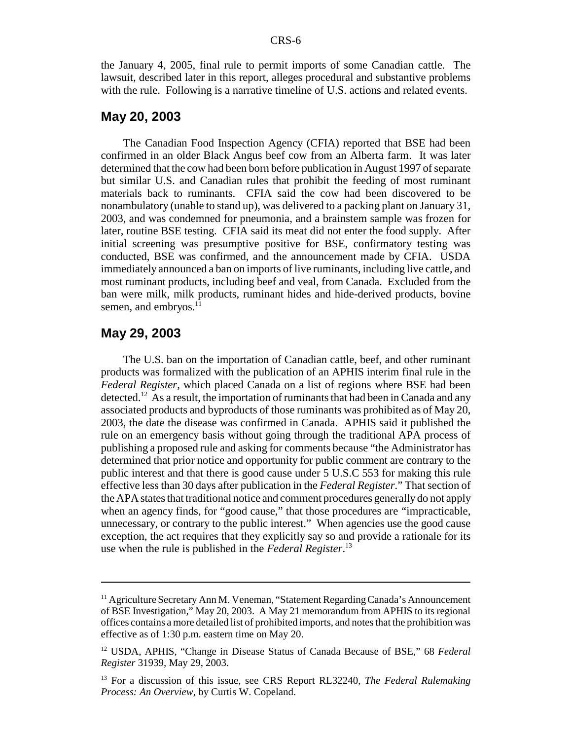the January 4, 2005, final rule to permit imports of some Canadian cattle. The lawsuit, described later in this report, alleges procedural and substantive problems with the rule. Following is a narrative timeline of U.S. actions and related events.

#### **May 20, 2003**

The Canadian Food Inspection Agency (CFIA) reported that BSE had been confirmed in an older Black Angus beef cow from an Alberta farm. It was later determined that the cow had been born before publication in August 1997 of separate but similar U.S. and Canadian rules that prohibit the feeding of most ruminant materials back to ruminants. CFIA said the cow had been discovered to be nonambulatory (unable to stand up), was delivered to a packing plant on January 31, 2003, and was condemned for pneumonia, and a brainstem sample was frozen for later, routine BSE testing. CFIA said its meat did not enter the food supply. After initial screening was presumptive positive for BSE, confirmatory testing was conducted, BSE was confirmed, and the announcement made by CFIA. USDA immediately announced a ban on imports of live ruminants, including live cattle, and most ruminant products, including beef and veal, from Canada. Excluded from the ban were milk, milk products, ruminant hides and hide-derived products, bovine semen, and embryos.<sup>11</sup>

#### **May 29, 2003**

The U.S. ban on the importation of Canadian cattle, beef, and other ruminant products was formalized with the publication of an APHIS interim final rule in the *Federal Register*, which placed Canada on a list of regions where BSE had been detected.<sup>12</sup> As a result, the importation of ruminants that had been in Canada and any associated products and byproducts of those ruminants was prohibited as of May 20, 2003, the date the disease was confirmed in Canada. APHIS said it published the rule on an emergency basis without going through the traditional APA process of publishing a proposed rule and asking for comments because "the Administrator has determined that prior notice and opportunity for public comment are contrary to the public interest and that there is good cause under 5 U.S.C 553 for making this rule effective less than 30 days after publication in the *Federal Register*." That section of the APA states that traditional notice and comment procedures generally do not apply when an agency finds, for "good cause," that those procedures are "impracticable, unnecessary, or contrary to the public interest." When agencies use the good cause exception, the act requires that they explicitly say so and provide a rationale for its use when the rule is published in the *Federal Register*. 13

<sup>&</sup>lt;sup>11</sup> Agriculture Secretary Ann M. Veneman, "Statement Regarding Canada's Announcement of BSE Investigation," May 20, 2003. A May 21 memorandum from APHIS to its regional offices contains a more detailed list of prohibited imports, and notes that the prohibition was effective as of 1:30 p.m. eastern time on May 20.

<sup>12</sup> USDA, APHIS, "Change in Disease Status of Canada Because of BSE," 68 *Federal Register* 31939, May 29, 2003.

<sup>13</sup> For a discussion of this issue, see CRS Report RL32240, *The Federal Rulemaking Process: An Overview*, by Curtis W. Copeland.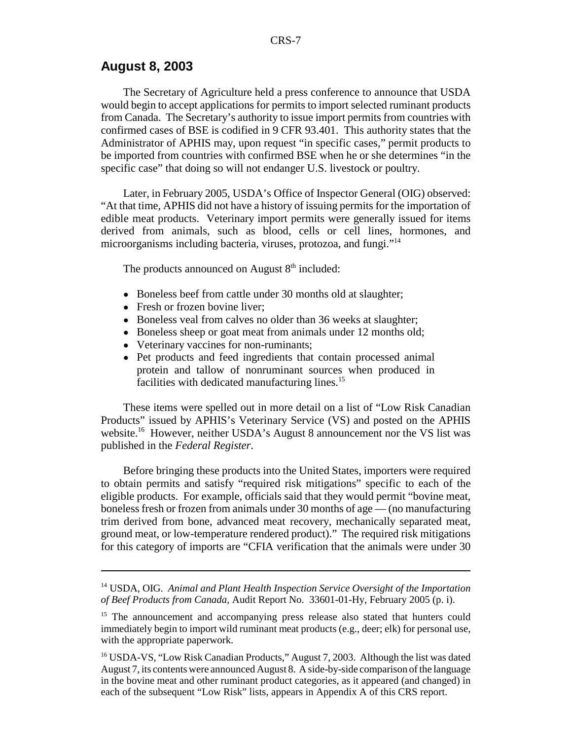#### **August 8, 2003**

The Secretary of Agriculture held a press conference to announce that USDA would begin to accept applications for permits to import selected ruminant products from Canada. The Secretary's authority to issue import permits from countries with confirmed cases of BSE is codified in 9 CFR 93.401. This authority states that the Administrator of APHIS may, upon request "in specific cases," permit products to be imported from countries with confirmed BSE when he or she determines "in the specific case" that doing so will not endanger U.S. livestock or poultry.

Later, in February 2005, USDA's Office of Inspector General (OIG) observed: "At that time, APHIS did not have a history of issuing permits for the importation of edible meat products. Veterinary import permits were generally issued for items derived from animals, such as blood, cells or cell lines, hormones, and microorganisms including bacteria, viruses, protozoa, and fungi."14

The products announced on August  $8<sup>th</sup>$  included:

- Boneless beef from cattle under 30 months old at slaughter;
- Fresh or frozen bovine liver;
- Boneless veal from calves no older than 36 weeks at slaughter;
- Boneless sheep or goat meat from animals under 12 months old;
- ! Veterinary vaccines for non-ruminants;
- ! Pet products and feed ingredients that contain processed animal protein and tallow of nonruminant sources when produced in facilities with dedicated manufacturing lines.<sup>15</sup>

These items were spelled out in more detail on a list of "Low Risk Canadian Products" issued by APHIS's Veterinary Service (VS) and posted on the APHIS website.<sup>16</sup> However, neither USDA's August 8 announcement nor the VS list was published in the *Federal Register*.

Before bringing these products into the United States, importers were required to obtain permits and satisfy "required risk mitigations" specific to each of the eligible products. For example, officials said that they would permit "bovine meat, boneless fresh or frozen from animals under 30 months of age — (no manufacturing trim derived from bone, advanced meat recovery, mechanically separated meat, ground meat, or low-temperature rendered product)." The required risk mitigations for this category of imports are "CFIA verification that the animals were under 30

<sup>14</sup> USDA, OIG. *Animal and Plant Health Inspection Service Oversight of the Importation of Beef Products from Canada*, Audit Report No. 33601-01-Hy, February 2005 (p. i).

<sup>&</sup>lt;sup>15</sup> The announcement and accompanying press release also stated that hunters could immediately begin to import wild ruminant meat products (e.g., deer; elk) for personal use, with the appropriate paperwork.

<sup>&</sup>lt;sup>16</sup> USDA-VS, "Low Risk Canadian Products," August 7, 2003. Although the list was dated August 7, its contents were announced August 8. A side-by-side comparison of the language in the bovine meat and other ruminant product categories, as it appeared (and changed) in each of the subsequent "Low Risk" lists, appears in Appendix A of this CRS report.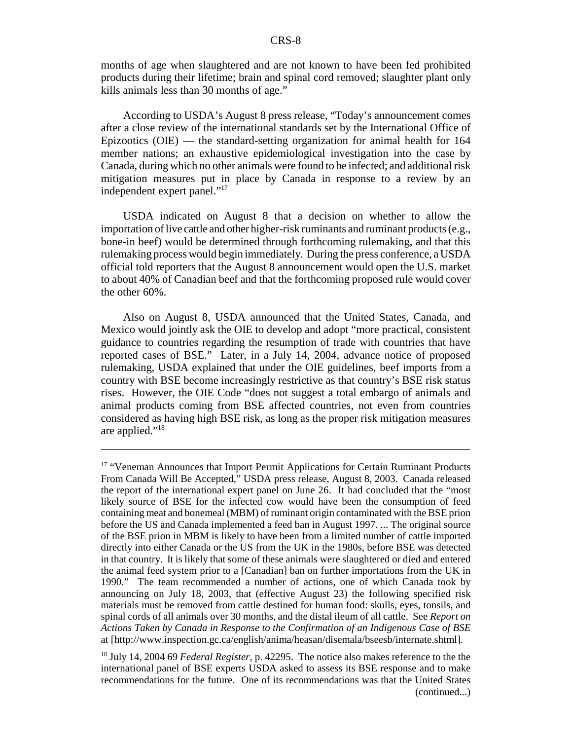months of age when slaughtered and are not known to have been fed prohibited products during their lifetime; brain and spinal cord removed; slaughter plant only kills animals less than 30 months of age."

According to USDA's August 8 press release, "Today's announcement comes after a close review of the international standards set by the International Office of Epizootics (OIE) — the standard-setting organization for animal health for 164 member nations; an exhaustive epidemiological investigation into the case by Canada, during which no other animals were found to be infected; and additional risk mitigation measures put in place by Canada in response to a review by an independent expert panel."17

USDA indicated on August 8 that a decision on whether to allow the importation of live cattle and other higher-risk ruminants and ruminant products (e.g., bone-in beef) would be determined through forthcoming rulemaking, and that this rulemaking process would begin immediately. During the press conference, a USDA official told reporters that the August 8 announcement would open the U.S. market to about 40% of Canadian beef and that the forthcoming proposed rule would cover the other 60%.

Also on August 8, USDA announced that the United States, Canada, and Mexico would jointly ask the OIE to develop and adopt "more practical, consistent guidance to countries regarding the resumption of trade with countries that have reported cases of BSE." Later, in a July 14, 2004, advance notice of proposed rulemaking, USDA explained that under the OIE guidelines, beef imports from a country with BSE become increasingly restrictive as that country's BSE risk status rises. However, the OIE Code "does not suggest a total embargo of animals and animal products coming from BSE affected countries, not even from countries considered as having high BSE risk, as long as the proper risk mitigation measures are applied."18

<sup>&</sup>lt;sup>17</sup> "Veneman Announces that Import Permit Applications for Certain Ruminant Products From Canada Will Be Accepted," USDA press release, August 8, 2003. Canada released the report of the international expert panel on June 26. It had concluded that the "most likely source of BSE for the infected cow would have been the consumption of feed containing meat and bonemeal (MBM) of ruminant origin contaminated with the BSE prion before the US and Canada implemented a feed ban in August 1997. ... The original source of the BSE prion in MBM is likely to have been from a limited number of cattle imported directly into either Canada or the US from the UK in the 1980s, before BSE was detected in that country. It is likely that some of these animals were slaughtered or died and entered the animal feed system prior to a [Canadian] ban on further importations from the UK in 1990." The team recommended a number of actions, one of which Canada took by announcing on July 18, 2003, that (effective August 23) the following specified risk materials must be removed from cattle destined for human food: skulls, eyes, tonsils, and spinal cords of all animals over 30 months, and the distal ileum of all cattle. See *Report on Actions Taken by Canada in Response to the Confirmation of an Indigenous Case of BSE* at [http://www.inspection.gc.ca/english/anima/heasan/disemala/bseesb/internate.shtml].

<sup>18</sup> July 14, 2004 69 *Federal Register*, p. 42295. The notice also makes reference to the the international panel of BSE experts USDA asked to assess its BSE response and to make recommendations for the future. One of its recommendations was that the United States (continued...)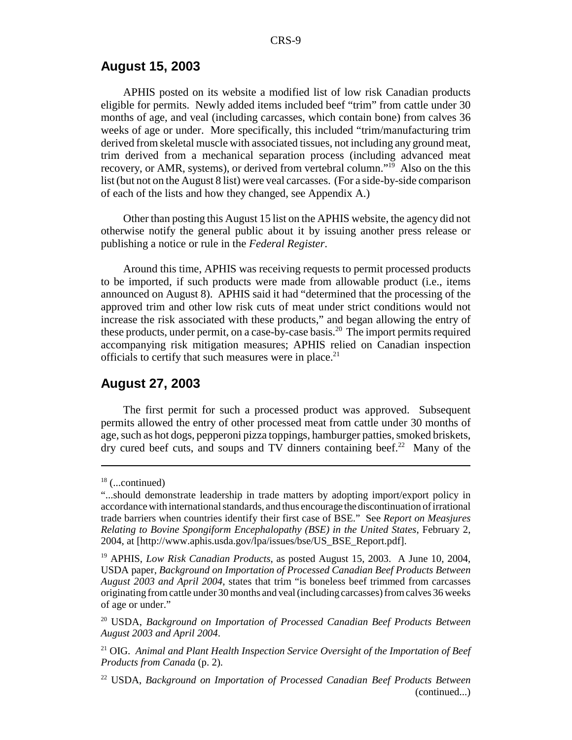#### **August 15, 2003**

APHIS posted on its website a modified list of low risk Canadian products eligible for permits. Newly added items included beef "trim" from cattle under 30 months of age, and veal (including carcasses, which contain bone) from calves 36 weeks of age or under. More specifically, this included "trim/manufacturing trim derived from skeletal muscle with associated tissues, not including any ground meat, trim derived from a mechanical separation process (including advanced meat recovery, or AMR, systems), or derived from vertebral column."<sup>19</sup> Also on the this list (but not on the August 8 list) were veal carcasses. (For a side-by-side comparison of each of the lists and how they changed, see Appendix A.)

Other than posting this August 15 list on the APHIS website, the agency did not otherwise notify the general public about it by issuing another press release or publishing a notice or rule in the *Federal Register*.

Around this time, APHIS was receiving requests to permit processed products to be imported, if such products were made from allowable product (i.e., items announced on August 8). APHIS said it had "determined that the processing of the approved trim and other low risk cuts of meat under strict conditions would not increase the risk associated with these products," and began allowing the entry of these products, under permit, on a case-by-case basis.<sup>20</sup> The import permits required accompanying risk mitigation measures; APHIS relied on Canadian inspection officials to certify that such measures were in place.<sup>21</sup>

#### **August 27, 2003**

The first permit for such a processed product was approved. Subsequent permits allowed the entry of other processed meat from cattle under 30 months of age, such as hot dogs, pepperoni pizza toppings, hamburger patties, smoked briskets, dry cured beef cuts, and soups and TV dinners containing beef.<sup>22</sup> Many of the

 $18$  (...continued)

<sup>&</sup>quot;...should demonstrate leadership in trade matters by adopting import/export policy in accordance with international standards, and thus encourage the discontinuation of irrational trade barriers when countries identify their first case of BSE." See *Report on Measjures Relating to Bovine Spongiform Encephalopathy (BSE) in the United States*, February 2, 2004, at [http://www.aphis.usda.gov/lpa/issues/bse/US\_BSE\_Report.pdf].

<sup>19</sup> APHIS, *Low Risk Canadian Products*, as posted August 15, 2003. A June 10, 2004, USDA paper, *Background on Importation of Processed Canadian Beef Products Between August 2003 and April 2004*, states that trim "is boneless beef trimmed from carcasses originating from cattle under 30 months and veal (including carcasses) from calves 36 weeks of age or under."

<sup>20</sup> USDA, *Background on Importation of Processed Canadian Beef Products Between August 2003 and April 2004*.

<sup>21</sup> OIG. *Animal and Plant Health Inspection Service Oversight of the Importation of Beef Products from Canada* (p. 2).

<sup>22</sup> USDA, *Background on Importation of Processed Canadian Beef Products Between* (continued...)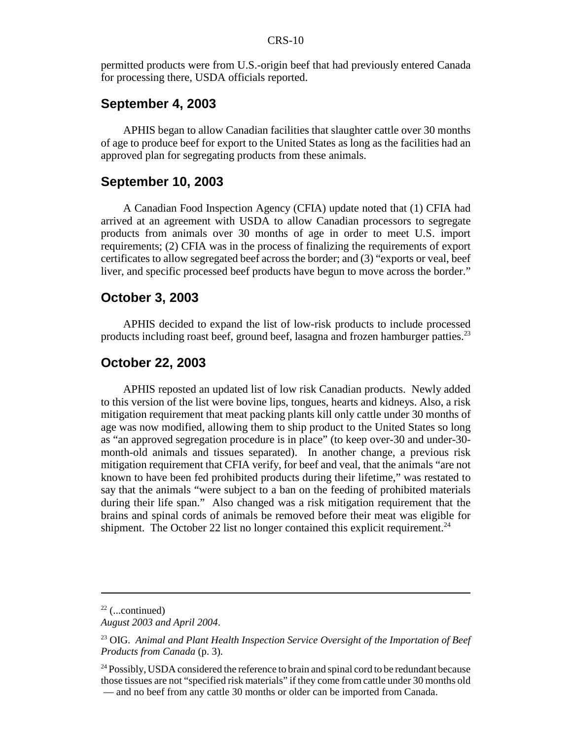permitted products were from U.S.-origin beef that had previously entered Canada for processing there, USDA officials reported.

#### **September 4, 2003**

APHIS began to allow Canadian facilities that slaughter cattle over 30 months of age to produce beef for export to the United States as long as the facilities had an approved plan for segregating products from these animals.

#### **September 10, 2003**

A Canadian Food Inspection Agency (CFIA) update noted that (1) CFIA had arrived at an agreement with USDA to allow Canadian processors to segregate products from animals over 30 months of age in order to meet U.S. import requirements; (2) CFIA was in the process of finalizing the requirements of export certificates to allow segregated beef across the border; and (3) "exports or veal, beef liver, and specific processed beef products have begun to move across the border."

#### **October 3, 2003**

APHIS decided to expand the list of low-risk products to include processed products including roast beef, ground beef, lasagna and frozen hamburger patties.<sup>23</sup>

#### **October 22, 2003**

APHIS reposted an updated list of low risk Canadian products. Newly added to this version of the list were bovine lips, tongues, hearts and kidneys. Also, a risk mitigation requirement that meat packing plants kill only cattle under 30 months of age was now modified, allowing them to ship product to the United States so long as "an approved segregation procedure is in place" (to keep over-30 and under-30 month-old animals and tissues separated). In another change, a previous risk mitigation requirement that CFIA verify, for beef and veal, that the animals "are not known to have been fed prohibited products during their lifetime," was restated to say that the animals "were subject to a ban on the feeding of prohibited materials during their life span." Also changed was a risk mitigation requirement that the brains and spinal cords of animals be removed before their meat was eligible for shipment. The October 22 list no longer contained this explicit requirement.<sup>24</sup>

 $22$  (...continued)

*August 2003 and April 2004*.

<sup>23</sup> OIG. *Animal and Plant Health Inspection Service Oversight of the Importation of Beef Products from Canada* (p. 3).

<sup>&</sup>lt;sup>24</sup> Possibly, USDA considered the reference to brain and spinal cord to be redundant because those tissues are not "specified risk materials" if they come from cattle under 30 months old — and no beef from any cattle 30 months or older can be imported from Canada.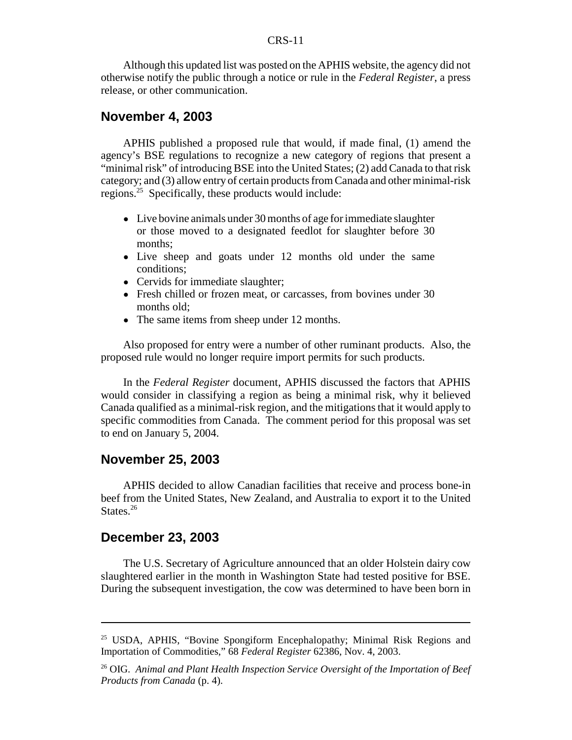Although this updated list was posted on the APHIS website, the agency did not otherwise notify the public through a notice or rule in the *Federal Register*, a press release, or other communication.

#### **November 4, 2003**

APHIS published a proposed rule that would, if made final, (1) amend the agency's BSE regulations to recognize a new category of regions that present a "minimal risk" of introducing BSE into the United States; (2) add Canada to that risk category; and (3) allow entry of certain products from Canada and other minimal-risk regions.25 Specifically, these products would include:

- Live bovine animals under 30 months of age for immediate slaughter or those moved to a designated feedlot for slaughter before 30 months;
- Live sheep and goats under 12 months old under the same conditions;
- Cervids for immediate slaughter;
- Fresh chilled or frozen meat, or carcasses, from bovines under 30 months old;
- The same items from sheep under 12 months.

Also proposed for entry were a number of other ruminant products. Also, the proposed rule would no longer require import permits for such products.

In the *Federal Register* document, APHIS discussed the factors that APHIS would consider in classifying a region as being a minimal risk, why it believed Canada qualified as a minimal-risk region, and the mitigations that it would apply to specific commodities from Canada. The comment period for this proposal was set to end on January 5, 2004.

#### **November 25, 2003**

APHIS decided to allow Canadian facilities that receive and process bone-in beef from the United States, New Zealand, and Australia to export it to the United States.<sup>26</sup>

#### **December 23, 2003**

The U.S. Secretary of Agriculture announced that an older Holstein dairy cow slaughtered earlier in the month in Washington State had tested positive for BSE. During the subsequent investigation, the cow was determined to have been born in

<sup>&</sup>lt;sup>25</sup> USDA, APHIS, "Bovine Spongiform Encephalopathy; Minimal Risk Regions and Importation of Commodities," 68 *Federal Register* 62386, Nov. 4, 2003.

<sup>26</sup> OIG. *Animal and Plant Health Inspection Service Oversight of the Importation of Beef Products from Canada* (p. 4).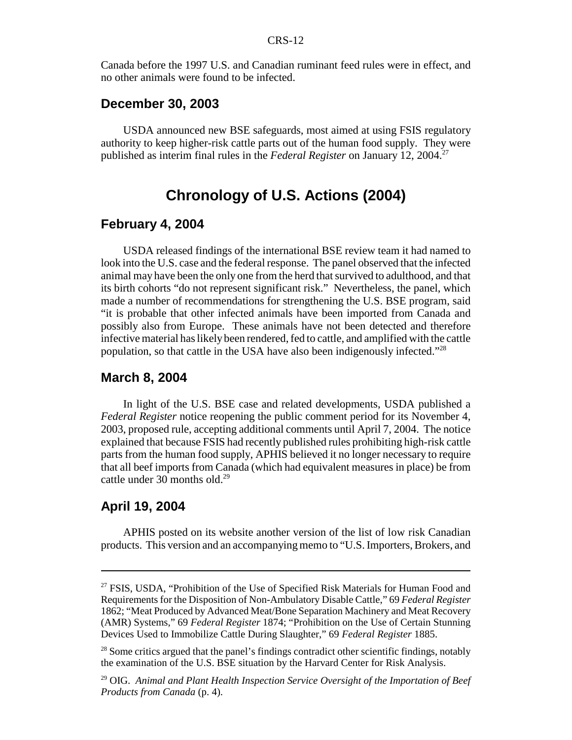Canada before the 1997 U.S. and Canadian ruminant feed rules were in effect, and no other animals were found to be infected.

#### **December 30, 2003**

USDA announced new BSE safeguards, most aimed at using FSIS regulatory authority to keep higher-risk cattle parts out of the human food supply. They were published as interim final rules in the *Federal Register* on January 12, 2004.<sup>27</sup>

## **Chronology of U.S. Actions (2004)**

#### **February 4, 2004**

USDA released findings of the international BSE review team it had named to look into the U.S. case and the federal response. The panel observed that the infected animal may have been the only one from the herd that survived to adulthood, and that its birth cohorts "do not represent significant risk." Nevertheless, the panel, which made a number of recommendations for strengthening the U.S. BSE program, said "it is probable that other infected animals have been imported from Canada and possibly also from Europe. These animals have not been detected and therefore infective material has likely been rendered, fed to cattle, and amplified with the cattle population, so that cattle in the USA have also been indigenously infected."<sup>28</sup>

#### **March 8, 2004**

In light of the U.S. BSE case and related developments, USDA published a *Federal Register* notice reopening the public comment period for its November 4, 2003, proposed rule, accepting additional comments until April 7, 2004. The notice explained that because FSIS had recently published rules prohibiting high-risk cattle parts from the human food supply, APHIS believed it no longer necessary to require that all beef imports from Canada (which had equivalent measures in place) be from cattle under 30 months old.<sup>29</sup>

#### **April 19, 2004**

APHIS posted on its website another version of the list of low risk Canadian products. This version and an accompanying memo to "U.S. Importers, Brokers, and

<sup>&</sup>lt;sup>27</sup> FSIS, USDA, "Prohibition of the Use of Specified Risk Materials for Human Food and Requirements for the Disposition of Non-Ambulatory Disable Cattle," 69 *Federal Register* 1862; "Meat Produced by Advanced Meat/Bone Separation Machinery and Meat Recovery (AMR) Systems," 69 *Federal Register* 1874; "Prohibition on the Use of Certain Stunning Devices Used to Immobilize Cattle During Slaughter," 69 *Federal Register* 1885.

<sup>&</sup>lt;sup>28</sup> Some critics argued that the panel's findings contradict other scientific findings, notably the examination of the U.S. BSE situation by the Harvard Center for Risk Analysis.

<sup>29</sup> OIG. *Animal and Plant Health Inspection Service Oversight of the Importation of Beef Products from Canada* (p. 4).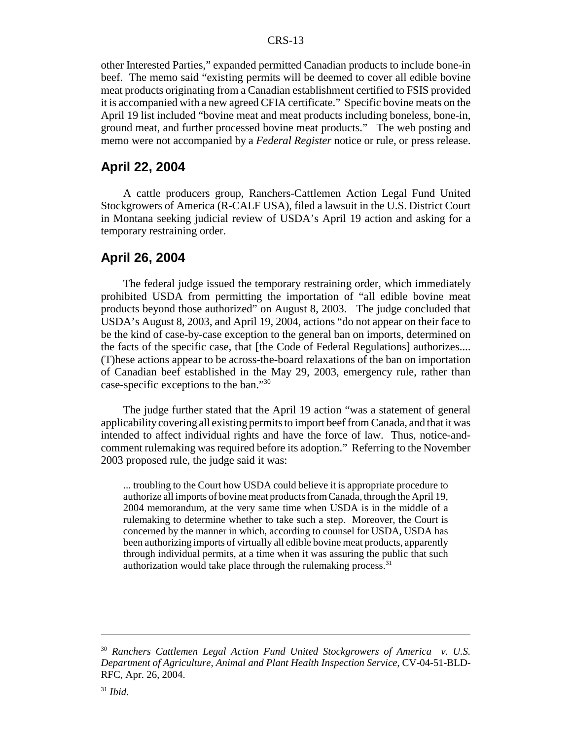other Interested Parties," expanded permitted Canadian products to include bone-in beef. The memo said "existing permits will be deemed to cover all edible bovine meat products originating from a Canadian establishment certified to FSIS provided it is accompanied with a new agreed CFIA certificate." Specific bovine meats on the April 19 list included "bovine meat and meat products including boneless, bone-in, ground meat, and further processed bovine meat products." The web posting and memo were not accompanied by a *Federal Register* notice or rule, or press release.

#### **April 22, 2004**

A cattle producers group, Ranchers-Cattlemen Action Legal Fund United Stockgrowers of America (R-CALF USA), filed a lawsuit in the U.S. District Court in Montana seeking judicial review of USDA's April 19 action and asking for a temporary restraining order.

#### **April 26, 2004**

The federal judge issued the temporary restraining order, which immediately prohibited USDA from permitting the importation of "all edible bovine meat products beyond those authorized" on August 8, 2003. The judge concluded that USDA's August 8, 2003, and April 19, 2004, actions "do not appear on their face to be the kind of case-by-case exception to the general ban on imports, determined on the facts of the specific case, that [the Code of Federal Regulations] authorizes.... (T)hese actions appear to be across-the-board relaxations of the ban on importation of Canadian beef established in the May 29, 2003, emergency rule, rather than case-specific exceptions to the ban."30

The judge further stated that the April 19 action "was a statement of general applicability covering all existing permits to import beef from Canada, and that it was intended to affect individual rights and have the force of law. Thus, notice-andcomment rulemaking was required before its adoption." Referring to the November 2003 proposed rule, the judge said it was:

... troubling to the Court how USDA could believe it is appropriate procedure to authorize all imports of bovine meat products from Canada, through the April 19, 2004 memorandum, at the very same time when USDA is in the middle of a rulemaking to determine whether to take such a step. Moreover, the Court is concerned by the manner in which, according to counsel for USDA, USDA has been authorizing imports of virtually all edible bovine meat products, apparently through individual permits, at a time when it was assuring the public that such authorization would take place through the rulemaking process. $31$ 

<sup>30</sup> *Ranchers Cattlemen Legal Action Fund United Stockgrowers of America v. U.S. Department of Agriculture, Animal and Plant Health Inspection Service*, CV-04-51-BLD-RFC, Apr. 26, 2004.

<sup>31</sup> *Ibid*.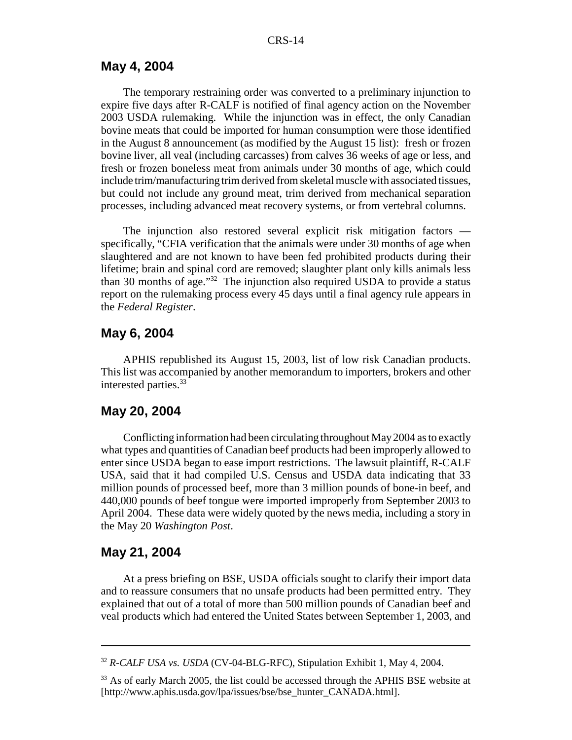#### **May 4, 2004**

The temporary restraining order was converted to a preliminary injunction to expire five days after R-CALF is notified of final agency action on the November 2003 USDA rulemaking. While the injunction was in effect, the only Canadian bovine meats that could be imported for human consumption were those identified in the August 8 announcement (as modified by the August 15 list): fresh or frozen bovine liver, all veal (including carcasses) from calves 36 weeks of age or less, and fresh or frozen boneless meat from animals under 30 months of age, which could include trim/manufacturing trim derived from skeletal muscle with associated tissues, but could not include any ground meat, trim derived from mechanical separation processes, including advanced meat recovery systems, or from vertebral columns.

The injunction also restored several explicit risk mitigation factors specifically, "CFIA verification that the animals were under 30 months of age when slaughtered and are not known to have been fed prohibited products during their lifetime; brain and spinal cord are removed; slaughter plant only kills animals less than 30 months of age."32 The injunction also required USDA to provide a status report on the rulemaking process every 45 days until a final agency rule appears in the *Federal Register*.

#### **May 6, 2004**

APHIS republished its August 15, 2003, list of low risk Canadian products. This list was accompanied by another memorandum to importers, brokers and other interested parties.<sup>33</sup>

#### **May 20, 2004**

Conflicting information had been circulating throughout May 2004 as to exactly what types and quantities of Canadian beef products had been improperly allowed to enter since USDA began to ease import restrictions. The lawsuit plaintiff, R-CALF USA, said that it had compiled U.S. Census and USDA data indicating that 33 million pounds of processed beef, more than 3 million pounds of bone-in beef, and 440,000 pounds of beef tongue were imported improperly from September 2003 to April 2004. These data were widely quoted by the news media, including a story in the May 20 *Washington Post*.

#### **May 21, 2004**

At a press briefing on BSE, USDA officials sought to clarify their import data and to reassure consumers that no unsafe products had been permitted entry. They explained that out of a total of more than 500 million pounds of Canadian beef and veal products which had entered the United States between September 1, 2003, and

<sup>32</sup> *R-CALF USA vs. USDA* (CV-04-BLG-RFC), Stipulation Exhibit 1, May 4, 2004.

<sup>&</sup>lt;sup>33</sup> As of early March 2005, the list could be accessed through the APHIS BSE website at [http://www.aphis.usda.gov/lpa/issues/bse/bse\_hunter\_CANADA.html].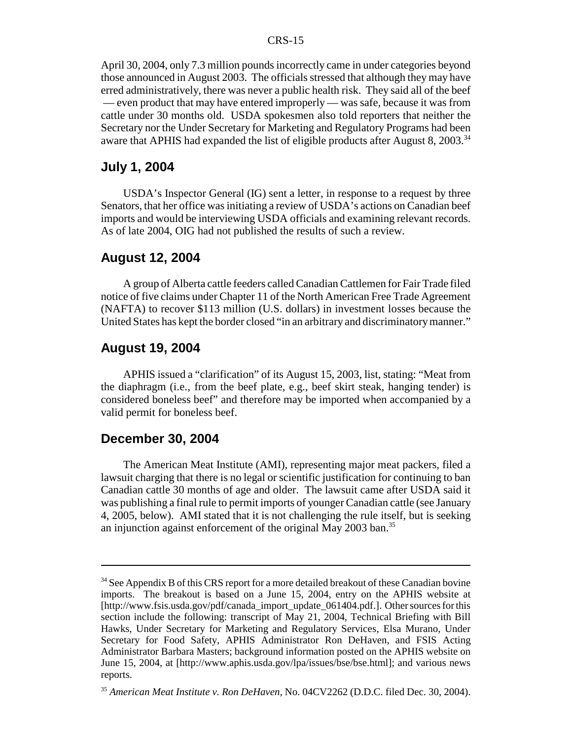April 30, 2004, only 7.3 million pounds incorrectly came in under categories beyond those announced in August 2003. The officials stressed that although they may have erred administratively, there was never a public health risk. They said all of the beef — even product that may have entered improperly — was safe, because it was from cattle under 30 months old. USDA spokesmen also told reporters that neither the Secretary nor the Under Secretary for Marketing and Regulatory Programs had been aware that APHIS had expanded the list of eligible products after August 8, 2003.<sup>34</sup>

### **July 1, 2004**

USDA's Inspector General (IG) sent a letter, in response to a request by three Senators, that her office was initiating a review of USDA's actions on Canadian beef imports and would be interviewing USDA officials and examining relevant records. As of late 2004, OIG had not published the results of such a review.

#### **August 12, 2004**

A group of Alberta cattle feeders called Canadian Cattlemen for Fair Trade filed notice of five claims under Chapter 11 of the North American Free Trade Agreement (NAFTA) to recover \$113 million (U.S. dollars) in investment losses because the United States has kept the border closed "in an arbitrary and discriminatory manner."

#### **August 19, 2004**

APHIS issued a "clarification" of its August 15, 2003, list, stating: "Meat from the diaphragm (i.e., from the beef plate, e.g., beef skirt steak, hanging tender) is considered boneless beef" and therefore may be imported when accompanied by a valid permit for boneless beef.

#### **December 30, 2004**

The American Meat Institute (AMI), representing major meat packers, filed a lawsuit charging that there is no legal or scientific justification for continuing to ban Canadian cattle 30 months of age and older. The lawsuit came after USDA said it was publishing a final rule to permit imports of younger Canadian cattle (see January 4, 2005, below). AMI stated that it is not challenging the rule itself, but is seeking an injunction against enforcement of the original May 2003 ban.<sup>35</sup>

<sup>&</sup>lt;sup>34</sup> See Appendix B of this CRS report for a more detailed breakout of these Canadian bovine imports. The breakout is based on a June 15, 2004, entry on the APHIS website at [http://www.fsis.usda.gov/pdf/canada\_import\_update\_061404.pdf.]. Other sources for this section include the following: transcript of May 21, 2004, Technical Briefing with Bill Hawks, Under Secretary for Marketing and Regulatory Services, Elsa Murano, Under Secretary for Food Safety, APHIS Administrator Ron DeHaven, and FSIS Acting Administrator Barbara Masters; background information posted on the APHIS website on June 15, 2004, at [http://www.aphis.usda.gov/lpa/issues/bse/bse.html]; and various news reports.

<sup>35</sup> *American Meat Institute v. Ron DeHaven,* No. 04CV2262 (D.D.C. filed Dec. 30, 2004).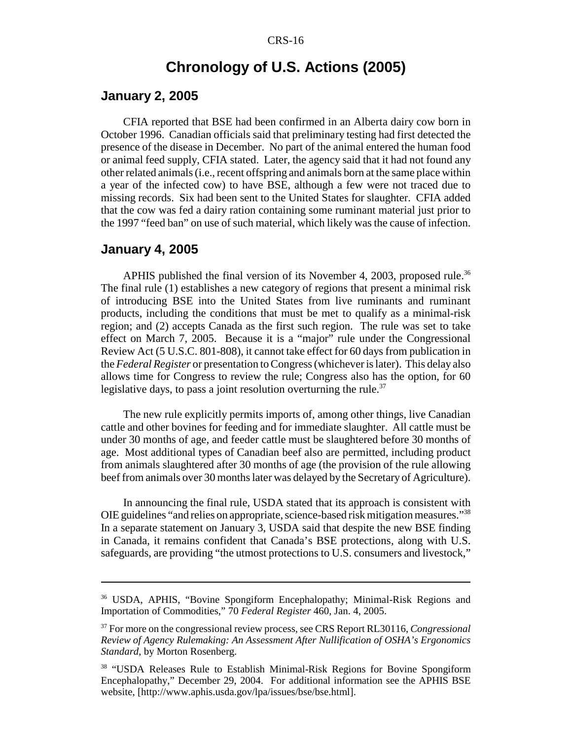## **Chronology of U.S. Actions (2005)**

#### **January 2, 2005**

CFIA reported that BSE had been confirmed in an Alberta dairy cow born in October 1996. Canadian officials said that preliminary testing had first detected the presence of the disease in December. No part of the animal entered the human food or animal feed supply, CFIA stated. Later, the agency said that it had not found any other related animals (i.e., recent offspring and animals born at the same place within a year of the infected cow) to have BSE, although a few were not traced due to missing records. Six had been sent to the United States for slaughter. CFIA added that the cow was fed a dairy ration containing some ruminant material just prior to the 1997 "feed ban" on use of such material, which likely was the cause of infection.

#### **January 4, 2005**

APHIS published the final version of its November 4, 2003, proposed rule.<sup>36</sup> The final rule (1) establishes a new category of regions that present a minimal risk of introducing BSE into the United States from live ruminants and ruminant products, including the conditions that must be met to qualify as a minimal-risk region; and (2) accepts Canada as the first such region. The rule was set to take effect on March 7, 2005. Because it is a "major" rule under the Congressional Review Act (5 U.S.C. 801-808), it cannot take effect for 60 days from publication in the *Federal Register* or presentation to Congress (whichever is later). This delay also allows time for Congress to review the rule; Congress also has the option, for 60 legislative days, to pass a joint resolution overturning the rule. $37$ 

The new rule explicitly permits imports of, among other things, live Canadian cattle and other bovines for feeding and for immediate slaughter. All cattle must be under 30 months of age, and feeder cattle must be slaughtered before 30 months of age. Most additional types of Canadian beef also are permitted, including product from animals slaughtered after 30 months of age (the provision of the rule allowing beef from animals over 30 months later was delayed by the Secretary of Agriculture).

In announcing the final rule, USDA stated that its approach is consistent with OIE guidelines "and relies on appropriate, science-based risk mitigation measures."38 In a separate statement on January 3, USDA said that despite the new BSE finding in Canada, it remains confident that Canada's BSE protections, along with U.S. safeguards, are providing "the utmost protections to U.S. consumers and livestock,"

<sup>36</sup> USDA, APHIS, "Bovine Spongiform Encephalopathy; Minimal-Risk Regions and Importation of Commodities," 70 *Federal Register* 460, Jan. 4, 2005.

<sup>37</sup> For more on the congressional review process, see CRS Report RL30116, *Congressional Review of Agency Rulemaking: An Assessment After Nullification of OSHA's Ergonomics Standard*, by Morton Rosenberg.

<sup>38 &</sup>quot;USDA Releases Rule to Establish Minimal-Risk Regions for Bovine Spongiform Encephalopathy," December 29, 2004. For additional information see the APHIS BSE website, [http://www.aphis.usda.gov/lpa/issues/bse/bse.html].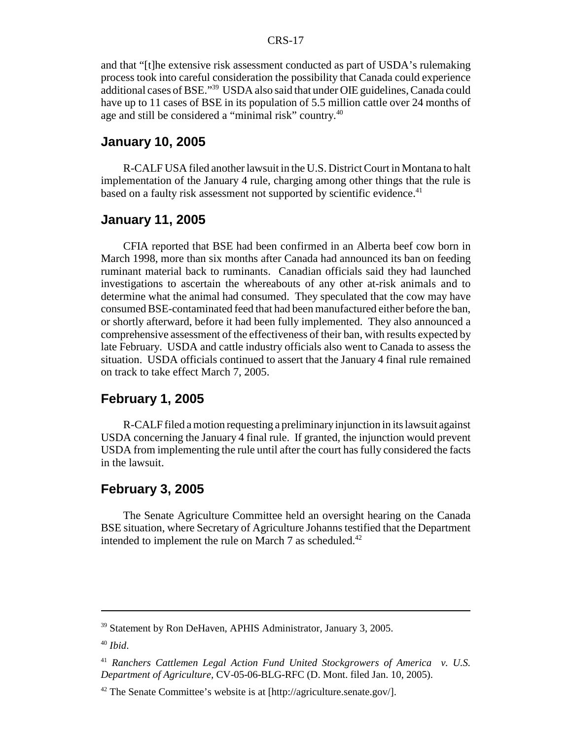and that "[t]he extensive risk assessment conducted as part of USDA's rulemaking process took into careful consideration the possibility that Canada could experience additional cases of BSE."39 USDA also said that under OIE guidelines, Canada could have up to 11 cases of BSE in its population of 5.5 million cattle over 24 months of age and still be considered a "minimal risk" country.40

#### **January 10, 2005**

R-CALF USA filed another lawsuit in the U.S. District Court in Montana to halt implementation of the January 4 rule, charging among other things that the rule is based on a faulty risk assessment not supported by scientific evidence.<sup>41</sup>

#### **January 11, 2005**

CFIA reported that BSE had been confirmed in an Alberta beef cow born in March 1998, more than six months after Canada had announced its ban on feeding ruminant material back to ruminants. Canadian officials said they had launched investigations to ascertain the whereabouts of any other at-risk animals and to determine what the animal had consumed. They speculated that the cow may have consumed BSE-contaminated feed that had been manufactured either before the ban, or shortly afterward, before it had been fully implemented. They also announced a comprehensive assessment of the effectiveness of their ban, with results expected by late February. USDA and cattle industry officials also went to Canada to assess the situation. USDA officials continued to assert that the January 4 final rule remained on track to take effect March 7, 2005.

#### **February 1, 2005**

R-CALF filed a motion requesting a preliminary injunction in its lawsuit against USDA concerning the January 4 final rule. If granted, the injunction would prevent USDA from implementing the rule until after the court has fully considered the facts in the lawsuit.

#### **February 3, 2005**

The Senate Agriculture Committee held an oversight hearing on the Canada BSE situation, where Secretary of Agriculture Johanns testified that the Department intended to implement the rule on March 7 as scheduled.<sup>42</sup>

<sup>39</sup> Statement by Ron DeHaven, APHIS Administrator, January 3, 2005.

<sup>40</sup> *Ibid*.

<sup>41</sup> *Ranchers Cattlemen Legal Action Fund United Stockgrowers of America v. U.S. Department of Agriculture,* CV-05-06-BLG-RFC (D. Mont. filed Jan. 10, 2005).

<sup>42</sup> The Senate Committee's website is at [http://agriculture.senate.gov/].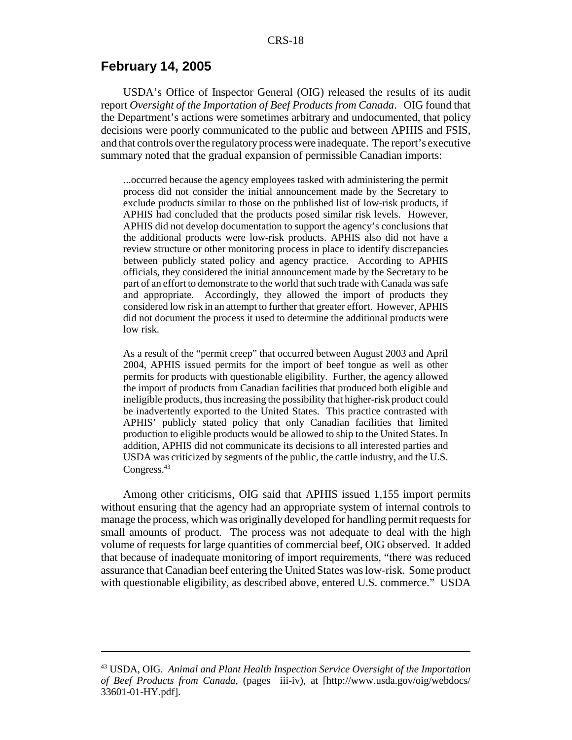#### **February 14, 2005**

USDA's Office of Inspector General (OIG) released the results of its audit report *Oversight of the Importation of Beef Products from Canada*. OIG found that the Department's actions were sometimes arbitrary and undocumented, that policy decisions were poorly communicated to the public and between APHIS and FSIS, and that controls over the regulatory process were inadequate. The report's executive summary noted that the gradual expansion of permissible Canadian imports:

...occurred because the agency employees tasked with administering the permit process did not consider the initial announcement made by the Secretary to exclude products similar to those on the published list of low-risk products, if APHIS had concluded that the products posed similar risk levels. However, APHIS did not develop documentation to support the agency's conclusions that the additional products were low-risk products. APHIS also did not have a review structure or other monitoring process in place to identify discrepancies between publicly stated policy and agency practice. According to APHIS officials, they considered the initial announcement made by the Secretary to be part of an effort to demonstrate to the world that such trade with Canada was safe and appropriate. Accordingly, they allowed the import of products they considered low risk in an attempt to further that greater effort. However, APHIS did not document the process it used to determine the additional products were low risk.

As a result of the "permit creep" that occurred between August 2003 and April 2004, APHIS issued permits for the import of beef tongue as well as other permits for products with questionable eligibility. Further, the agency allowed the import of products from Canadian facilities that produced both eligible and ineligible products, thus increasing the possibility that higher-risk product could be inadvertently exported to the United States. This practice contrasted with APHIS' publicly stated policy that only Canadian facilities that limited production to eligible products would be allowed to ship to the United States. In addition, APHIS did not communicate its decisions to all interested parties and USDA was criticized by segments of the public, the cattle industry, and the U.S. Congress.<sup>43</sup>

Among other criticisms, OIG said that APHIS issued 1,155 import permits without ensuring that the agency had an appropriate system of internal controls to manage the process, which was originally developed for handling permit requests for small amounts of product. The process was not adequate to deal with the high volume of requests for large quantities of commercial beef, OIG observed. It added that because of inadequate monitoring of import requirements, "there was reduced assurance that Canadian beef entering the United States was low-risk. Some product with questionable eligibility, as described above, entered U.S. commerce." USDA

<sup>43</sup> USDA, OIG. *Animal and Plant Health Inspection Service Oversight of the Importation of Beef Products from Canada*, (pages iii-iv), at [http://www.usda.gov/oig/webdocs/ 33601-01-HY.pdf].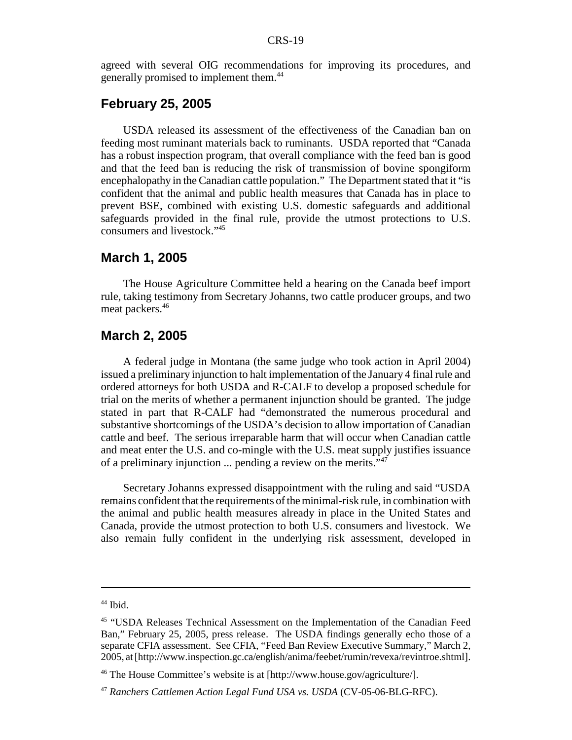agreed with several OIG recommendations for improving its procedures, and generally promised to implement them.44

#### **February 25, 2005**

USDA released its assessment of the effectiveness of the Canadian ban on feeding most ruminant materials back to ruminants. USDA reported that "Canada has a robust inspection program, that overall compliance with the feed ban is good and that the feed ban is reducing the risk of transmission of bovine spongiform encephalopathy in the Canadian cattle population." The Department stated that it "is confident that the animal and public health measures that Canada has in place to prevent BSE, combined with existing U.S. domestic safeguards and additional safeguards provided in the final rule, provide the utmost protections to U.S. consumers and livestock."45

#### **March 1, 2005**

The House Agriculture Committee held a hearing on the Canada beef import rule, taking testimony from Secretary Johanns, two cattle producer groups, and two meat packers.<sup>46</sup>

#### **March 2, 2005**

A federal judge in Montana (the same judge who took action in April 2004) issued a preliminary injunction to halt implementation of the January 4 final rule and ordered attorneys for both USDA and R-CALF to develop a proposed schedule for trial on the merits of whether a permanent injunction should be granted. The judge stated in part that R-CALF had "demonstrated the numerous procedural and substantive shortcomings of the USDA's decision to allow importation of Canadian cattle and beef. The serious irreparable harm that will occur when Canadian cattle and meat enter the U.S. and co-mingle with the U.S. meat supply justifies issuance of a preliminary injunction  $\ldots$  pending a review on the merits."<sup>47</sup>

Secretary Johanns expressed disappointment with the ruling and said "USDA remains confident that the requirements of the minimal-risk rule, in combination with the animal and public health measures already in place in the United States and Canada, provide the utmost protection to both U.S. consumers and livestock. We also remain fully confident in the underlying risk assessment, developed in

 $44$  Ibid.

<sup>45 &</sup>quot;USDA Releases Technical Assessment on the Implementation of the Canadian Feed Ban," February 25, 2005, press release. The USDA findings generally echo those of a separate CFIA assessment. See CFIA, "Feed Ban Review Executive Summary," March 2, 2005, at [http://www.inspection.gc.ca/english/anima/feebet/rumin/revexa/revintroe.shtml].

<sup>46</sup> The House Committee's website is at [http://www.house.gov/agriculture/].

<sup>47</sup> *Ranchers Cattlemen Action Legal Fund USA vs. USDA* (CV-05-06-BLG-RFC).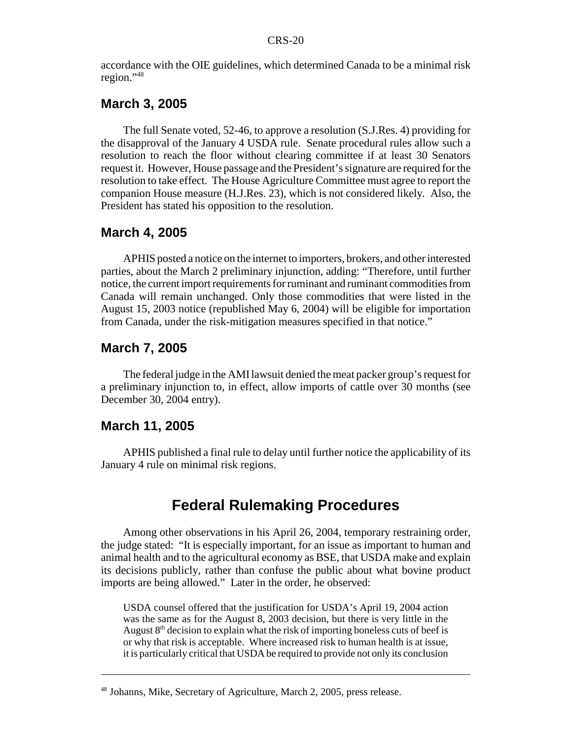accordance with the OIE guidelines, which determined Canada to be a minimal risk region."48

#### **March 3, 2005**

The full Senate voted, 52-46, to approve a resolution (S.J.Res. 4) providing for the disapproval of the January 4 USDA rule. Senate procedural rules allow such a resolution to reach the floor without clearing committee if at least 30 Senators request it. However, House passage and the President's signature are required for the resolution to take effect. The House Agriculture Committee must agree to report the companion House measure (H.J.Res. 23), which is not considered likely. Also, the President has stated his opposition to the resolution.

#### **March 4, 2005**

APHIS posted a notice on the internet to importers, brokers, and other interested parties, about the March 2 preliminary injunction, adding: "Therefore, until further notice, the current import requirements for ruminant and ruminant commodities from Canada will remain unchanged. Only those commodities that were listed in the August 15, 2003 notice (republished May 6, 2004) will be eligible for importation from Canada, under the risk-mitigation measures specified in that notice."

#### **March 7, 2005**

The federal judge in the AMI lawsuit denied the meat packer group's request for a preliminary injunction to, in effect, allow imports of cattle over 30 months (see December 30, 2004 entry).

#### **March 11, 2005**

APHIS published a final rule to delay until further notice the applicability of its January 4 rule on minimal risk regions.

## **Federal Rulemaking Procedures**

Among other observations in his April 26, 2004, temporary restraining order, the judge stated: "It is especially important, for an issue as important to human and animal health and to the agricultural economy as BSE, that USDA make and explain its decisions publicly, rather than confuse the public about what bovine product imports are being allowed." Later in the order, he observed:

USDA counsel offered that the justification for USDA's April 19, 2004 action was the same as for the August 8, 2003 decision, but there is very little in the August  $8<sup>th</sup>$  decision to explain what the risk of importing boneless cuts of beef is or why that risk is acceptable. Where increased risk to human health is at issue, it is particularly critical that USDA be required to provide not only its conclusion

<sup>48</sup> Johanns, Mike, Secretary of Agriculture, March 2, 2005, press release.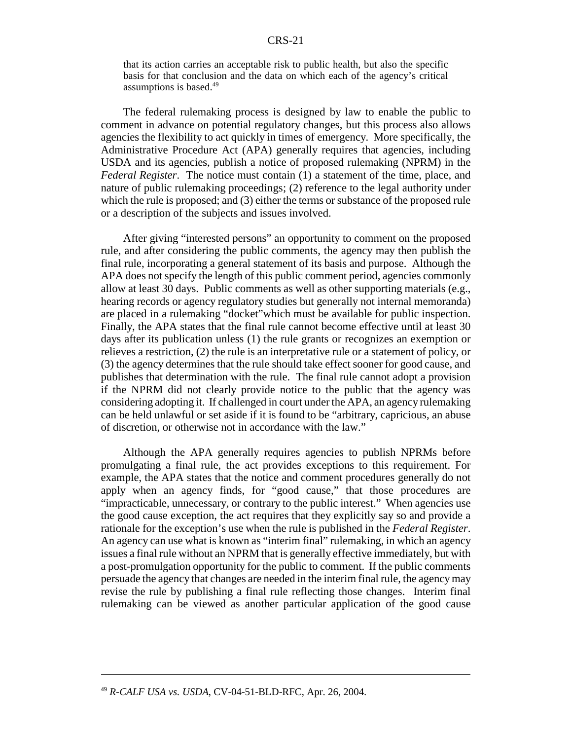that its action carries an acceptable risk to public health, but also the specific basis for that conclusion and the data on which each of the agency's critical assumptions is based.49

The federal rulemaking process is designed by law to enable the public to comment in advance on potential regulatory changes, but this process also allows agencies the flexibility to act quickly in times of emergency. More specifically, the Administrative Procedure Act (APA) generally requires that agencies, including USDA and its agencies, publish a notice of proposed rulemaking (NPRM) in the *Federal Register*. The notice must contain (1) a statement of the time, place, and nature of public rulemaking proceedings; (2) reference to the legal authority under which the rule is proposed; and (3) either the terms or substance of the proposed rule or a description of the subjects and issues involved.

After giving "interested persons" an opportunity to comment on the proposed rule, and after considering the public comments, the agency may then publish the final rule, incorporating a general statement of its basis and purpose. Although the APA does not specify the length of this public comment period, agencies commonly allow at least 30 days. Public comments as well as other supporting materials (e.g., hearing records or agency regulatory studies but generally not internal memoranda) are placed in a rulemaking "docket"which must be available for public inspection. Finally, the APA states that the final rule cannot become effective until at least 30 days after its publication unless (1) the rule grants or recognizes an exemption or relieves a restriction, (2) the rule is an interpretative rule or a statement of policy, or (3) the agency determines that the rule should take effect sooner for good cause, and publishes that determination with the rule. The final rule cannot adopt a provision if the NPRM did not clearly provide notice to the public that the agency was considering adopting it. If challenged in court under the APA, an agency rulemaking can be held unlawful or set aside if it is found to be "arbitrary, capricious, an abuse of discretion, or otherwise not in accordance with the law."

Although the APA generally requires agencies to publish NPRMs before promulgating a final rule, the act provides exceptions to this requirement. For example, the APA states that the notice and comment procedures generally do not apply when an agency finds, for "good cause," that those procedures are "impracticable, unnecessary, or contrary to the public interest." When agencies use the good cause exception, the act requires that they explicitly say so and provide a rationale for the exception's use when the rule is published in the *Federal Register*. An agency can use what is known as "interim final" rulemaking, in which an agency issues a final rule without an NPRM that is generally effective immediately, but with a post-promulgation opportunity for the public to comment. If the public comments persuade the agency that changes are needed in the interim final rule, the agency may revise the rule by publishing a final rule reflecting those changes. Interim final rulemaking can be viewed as another particular application of the good cause

<sup>49</sup> *R-CALF USA vs. USDA*, CV-04-51-BLD-RFC, Apr. 26, 2004.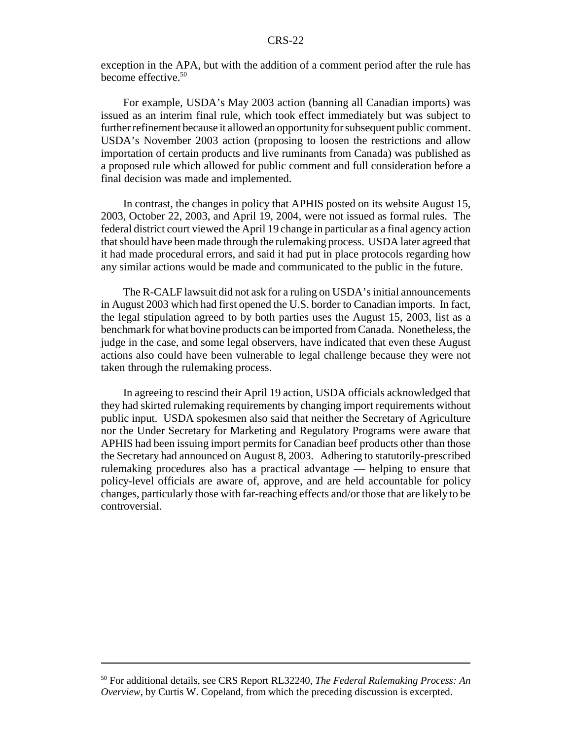exception in the APA, but with the addition of a comment period after the rule has become effective.<sup>50</sup>

For example, USDA's May 2003 action (banning all Canadian imports) was issued as an interim final rule, which took effect immediately but was subject to further refinement because it allowed an opportunity for subsequent public comment. USDA's November 2003 action (proposing to loosen the restrictions and allow importation of certain products and live ruminants from Canada) was published as a proposed rule which allowed for public comment and full consideration before a final decision was made and implemented.

In contrast, the changes in policy that APHIS posted on its website August 15, 2003, October 22, 2003, and April 19, 2004, were not issued as formal rules. The federal district court viewed the April 19 change in particular as a final agency action that should have been made through the rulemaking process. USDA later agreed that it had made procedural errors, and said it had put in place protocols regarding how any similar actions would be made and communicated to the public in the future.

The R-CALF lawsuit did not ask for a ruling on USDA's initial announcements in August 2003 which had first opened the U.S. border to Canadian imports. In fact, the legal stipulation agreed to by both parties uses the August 15, 2003, list as a benchmark for what bovine products can be imported from Canada. Nonetheless, the judge in the case, and some legal observers, have indicated that even these August actions also could have been vulnerable to legal challenge because they were not taken through the rulemaking process.

In agreeing to rescind their April 19 action, USDA officials acknowledged that they had skirted rulemaking requirements by changing import requirements without public input. USDA spokesmen also said that neither the Secretary of Agriculture nor the Under Secretary for Marketing and Regulatory Programs were aware that APHIS had been issuing import permits for Canadian beef products other than those the Secretary had announced on August 8, 2003. Adhering to statutorily-prescribed rulemaking procedures also has a practical advantage — helping to ensure that policy-level officials are aware of, approve, and are held accountable for policy changes, particularly those with far-reaching effects and/or those that are likely to be controversial.

<sup>50</sup> For additional details, see CRS Report RL32240, *The Federal Rulemaking Process: An Overview*, by Curtis W. Copeland, from which the preceding discussion is excerpted.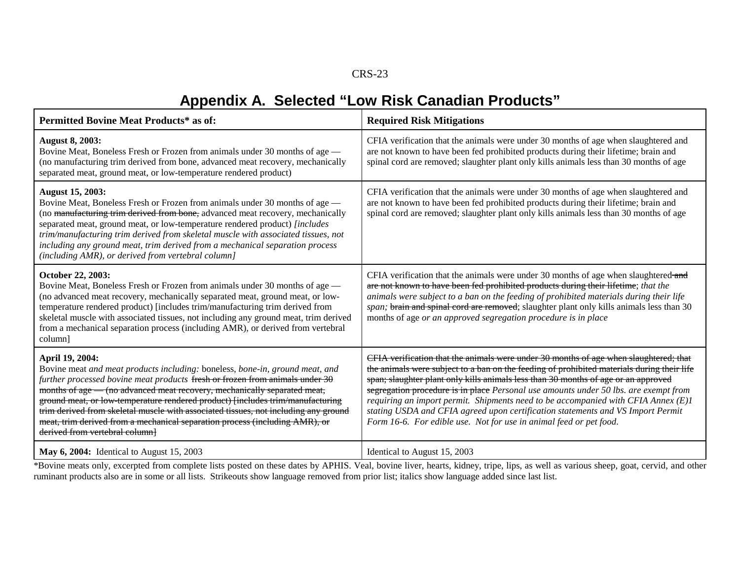## **Appendix A. Selected "Low Risk Canadian Products"**

| <b>Permitted Bovine Meat Products* as of:</b>                                                                                                                                                                                                                                                                                                                                                                                                                                                                                                        | <b>Required Risk Mitigations</b>                                                                                                                                                                                                                                                                                                                                                                                                                                                                                                                                                                                |
|------------------------------------------------------------------------------------------------------------------------------------------------------------------------------------------------------------------------------------------------------------------------------------------------------------------------------------------------------------------------------------------------------------------------------------------------------------------------------------------------------------------------------------------------------|-----------------------------------------------------------------------------------------------------------------------------------------------------------------------------------------------------------------------------------------------------------------------------------------------------------------------------------------------------------------------------------------------------------------------------------------------------------------------------------------------------------------------------------------------------------------------------------------------------------------|
| <b>August 8, 2003:</b><br>Bovine Meat, Boneless Fresh or Frozen from animals under 30 months of age -<br>(no manufacturing trim derived from bone, advanced meat recovery, mechanically<br>separated meat, ground meat, or low-temperature rendered product)                                                                                                                                                                                                                                                                                         | CFIA verification that the animals were under 30 months of age when slaughtered and<br>are not known to have been fed prohibited products during their lifetime; brain and<br>spinal cord are removed; slaughter plant only kills animals less than 30 months of age                                                                                                                                                                                                                                                                                                                                            |
| <b>August 15, 2003:</b><br>Bovine Meat, Boneless Fresh or Frozen from animals under 30 months of age -<br>(no manufacturing trim derived from bone, advanced meat recovery, mechanically<br>separated meat, ground meat, or low-temperature rendered product) [includes<br>trim/manufacturing trim derived from skeletal muscle with associated tissues, not<br>including any ground meat, trim derived from a mechanical separation process<br>(including AMR), or derived from vertebral column]                                                   | CFIA verification that the animals were under 30 months of age when slaughtered and<br>are not known to have been fed prohibited products during their lifetime; brain and<br>spinal cord are removed; slaughter plant only kills animals less than 30 months of age                                                                                                                                                                                                                                                                                                                                            |
| October 22, 2003:<br>Bovine Meat, Boneless Fresh or Frozen from animals under 30 months of age -<br>(no advanced meat recovery, mechanically separated meat, ground meat, or low-<br>temperature rendered product) [includes trim/manufacturing trim derived from<br>skeletal muscle with associated tissues, not including any ground meat, trim derived<br>from a mechanical separation process (including AMR), or derived from vertebral<br>column]                                                                                              | CFIA verification that the animals were under 30 months of age when slaughtered-and<br>are not known to have been fed prohibited products during their lifetime; that the<br>animals were subject to a ban on the feeding of prohibited materials during their life<br>span; brain and spinal cord are removed; slaughter plant only kills animals less than 30<br>months of age or an approved segregation procedure is in place                                                                                                                                                                               |
| April 19, 2004:<br>Bovine meat and meat products including: boneless, bone-in, ground meat, and<br>further processed bovine meat products fresh or frozen from animals under 30<br>months of age — (no advanced meat recovery, mechanically separated meat,<br>ground meat, or low-temperature rendered product) [includes trim/manufacturing<br>trim derived from skeletal muscle with associated tissues, not including any ground<br>meat, trim derived from a mechanical separation process (including AMR), or<br>derived from vertebral column | CFIA verification that the animals were under 30 months of age when slaughtered; that<br>the animals were subject to a ban on the feeding of prohibited materials during their life<br>span; slaughter plant only kills animals less than 30 months of age or an approved<br>segregation procedure is in place Personal use amounts under 50 lbs. are exempt from<br>requiring an import permit. Shipments need to be accompanied with CFIA Annex (E)1<br>stating USDA and CFIA agreed upon certification statements and VS Import Permit<br>Form 16-6. For edible use. Not for use in animal feed or pet food. |
| <b>May 6, 2004:</b> Identical to August 15, 2003                                                                                                                                                                                                                                                                                                                                                                                                                                                                                                     | Identical to August 15, 2003                                                                                                                                                                                                                                                                                                                                                                                                                                                                                                                                                                                    |

\*Bovine meats only, excerpted from complete lists posted on these dates by APHIS. Veal, bovine liver, hearts, kidney, tripe, lips, as well as various sheep, goat, cervid, and other ruminant products also are in some or all lists. Strikeouts show language removed from prior list; italics show language added since last list.